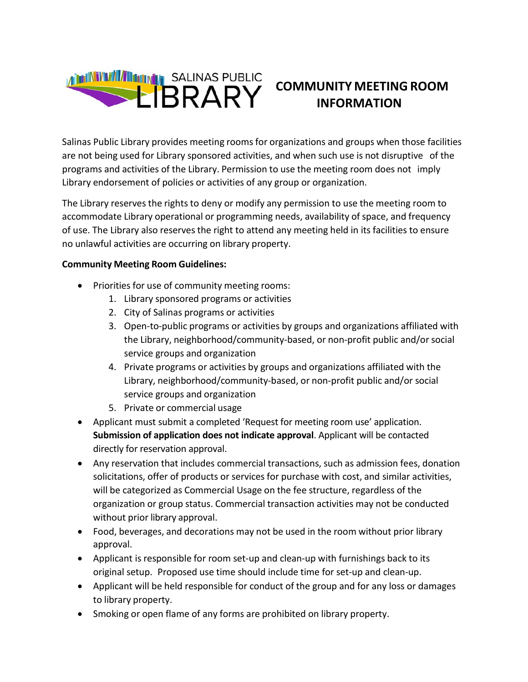

# **COMMUNITY MEETING ROOM INFORMATION**

Salinas Public Library provides meeting rooms for organizations and groups when those facilities are not being used for Library sponsored activities, and when such use is not disruptive of the programs and activities of the Library. Permission to use the meeting room does not imply Library endorsement of policies or activities of any group or organization.

The Library reserves the rights to deny or modify any permission to use the meeting room to accommodate Library operational or programming needs, availability of space, and frequency of use. The Library also reserves the right to attend any meeting held in its facilities to ensure no unlawful activities are occurring on library property.

#### **Community Meeting Room Guidelines:**

- Priorities for use of community meeting rooms:
	- 1. Library sponsored programs or activities
	- 2. City of Salinas programs or activities
	- 3. Open-to-public programs or activities by groups and organizations affiliated with the Library, neighborhood/community-based, or non-profit public and/or social service groups and organization
	- 4. Private programs or activities by groups and organizations affiliated with the Library, neighborhood/community-based, or non-profit public and/or social service groups and organization
	- 5. Private or commercial usage
- Applicant must submit a completed 'Request for meeting room use' application. **Submission of application does not indicate approval**. Applicant will be contacted directly for reservation approval.
- Any reservation that includes commercial transactions, such as admission fees, donation solicitations, offer of products or services for purchase with cost, and similar activities, will be categorized as Commercial Usage on the fee structure, regardless of the organization or group status. Commercial transaction activities may not be conducted without prior library approval.
- Food, beverages, and decorations may not be used in the room without prior library approval.
- Applicant is responsible for room set-up and clean-up with furnishings back to its original setup. Proposed use time should include time for set-up and clean-up.
- Applicant will be held responsible for conduct of the group and for any loss or damages to library property.
- Smoking or open flame of any forms are prohibited on library property.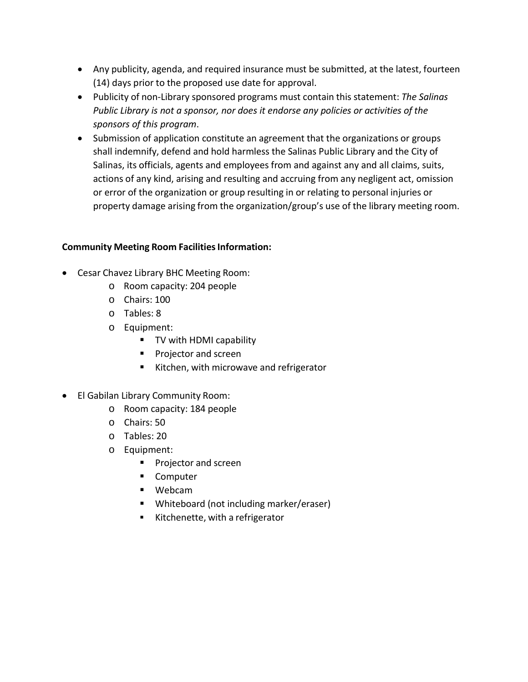- Any publicity, agenda, and required insurance must be submitted, at the latest, fourteen (14) days prior to the proposed use date for approval.
- Publicity of non-Library sponsored programs must contain this statement: *The Salinas Public Library is not a sponsor, nor does it endorse any policies or activities of the sponsors of this program*.
- Submission of application constitute an agreement that the organizations or groups shall indemnify, defend and hold harmless the Salinas Public Library and the City of Salinas, its officials, agents and employees from and against any and all claims, suits, actions of any kind, arising and resulting and accruing from any negligent act, omission or error of the organization or group resulting in or relating to personal injuries or property damage arising from the organization/group's use of the library meeting room.

### **Community Meeting Room Facilities Information:**

- Cesar Chavez Library BHC Meeting Room:
	- o Room capacity: 204 people
	- o Chairs: 100
	- o Tables: 8
	- o Equipment:
		- **TV with HDMI capability**
		- **Projector and screen**
		- Kitchen, with microwave and refrigerator
- El Gabilan Library Community Room:
	- o Room capacity: 184 people
	- o Chairs: 50
	- o Tables: 20
	- o Equipment:
		- **Projector and screen**
		- **Computer**
		- Webcam
		- Whiteboard (not including marker/eraser)
		- Kitchenette, with a refrigerator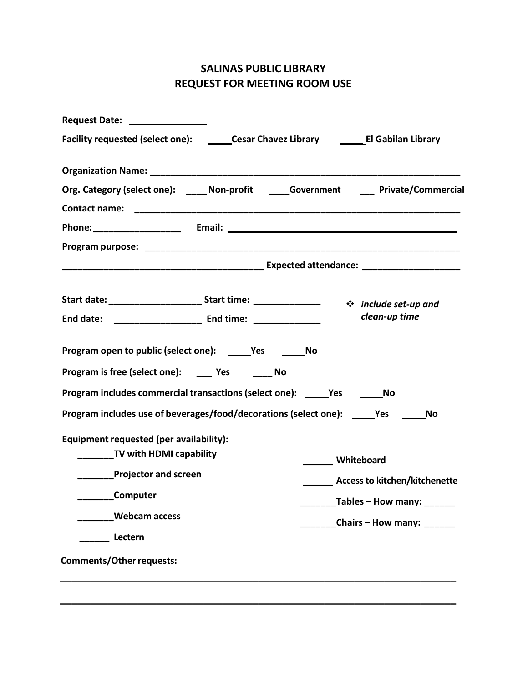## **SALINAS PUBLIC LIBRARY REQUEST FOR MEETING ROOM USE**

| Request Date: National Property of the Magnus Control of the Magnus Control of the Magnus Control of the Magnus Control of the Magnus Control of the Magnus Control of the Magnus Control of the Magnus Control of the Magnus |  |                   |                                      |  |
|-------------------------------------------------------------------------------------------------------------------------------------------------------------------------------------------------------------------------------|--|-------------------|--------------------------------------|--|
| Facility requested (select one): _______Cesar Chavez Library __________El Gabilan Library                                                                                                                                     |  |                   |                                      |  |
|                                                                                                                                                                                                                               |  |                   |                                      |  |
| Org. Category (select one): _____ Non-profit _____Government ____ Private/Commercial                                                                                                                                          |  |                   |                                      |  |
|                                                                                                                                                                                                                               |  |                   |                                      |  |
|                                                                                                                                                                                                                               |  |                   |                                      |  |
|                                                                                                                                                                                                                               |  |                   |                                      |  |
|                                                                                                                                                                                                                               |  |                   |                                      |  |
| Start date: __________________________Start time: __________________ ** include set-up and                                                                                                                                    |  |                   |                                      |  |
| End date: _________________________ End time: ________________                                                                                                                                                                |  |                   | clean-up time                        |  |
| Program open to public (select one): ______Yes ________No                                                                                                                                                                     |  |                   |                                      |  |
| Program is free (select one): _____ Yes _______ No                                                                                                                                                                            |  |                   |                                      |  |
| Program includes commercial transactions (select one): _____Yes ________No                                                                                                                                                    |  |                   |                                      |  |
| Program includes use of beverages/food/decorations (select one): _____Yes ______No                                                                                                                                            |  |                   |                                      |  |
| Equipment requested (per availability):                                                                                                                                                                                       |  |                   |                                      |  |
| TV with HDMI capability                                                                                                                                                                                                       |  | ______ Whiteboard |                                      |  |
| <b>Example Projector and screen</b>                                                                                                                                                                                           |  |                   | <b>Access to kitchen/kitchenette</b> |  |
| <b>Computer</b>                                                                                                                                                                                                               |  |                   | _______Tables - How many: _____      |  |
| <b>Webcam access</b>                                                                                                                                                                                                          |  |                   | Chairs - How many: ______            |  |
| Lectern                                                                                                                                                                                                                       |  |                   |                                      |  |
| <b>Comments/Other requests:</b>                                                                                                                                                                                               |  |                   |                                      |  |
|                                                                                                                                                                                                                               |  |                   |                                      |  |
|                                                                                                                                                                                                                               |  |                   |                                      |  |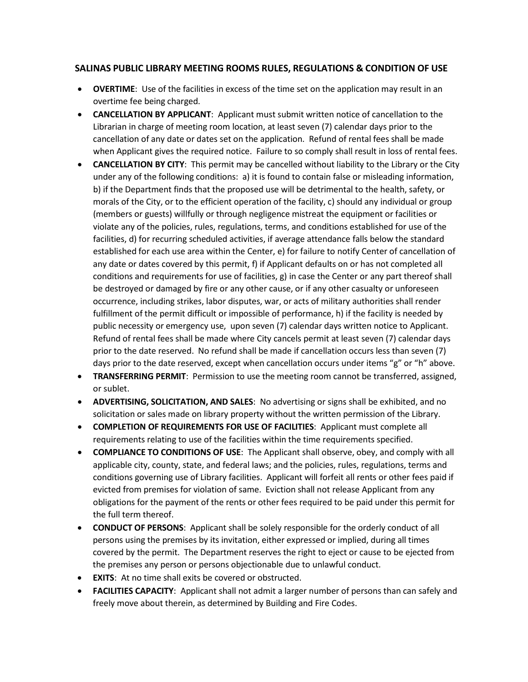#### **SALINAS PUBLIC LIBRARY MEETING ROOMS RULES, REGULATIONS & CONDITION OF USE**

- **OVERTIME**: Use of the facilities in excess of the time set on the application may result in an overtime fee being charged.
- **CANCELLATION BY APPLICANT**: Applicant must submit written notice of cancellation to the Librarian in charge of meeting room location, at least seven (7) calendar days prior to the cancellation of any date or dates set on the application. Refund of rental fees shall be made when Applicant gives the required notice. Failure to so comply shall result in loss of rental fees.
- **CANCELLATION BY CITY**: This permit may be cancelled without liability to the Library or the City under any of the following conditions: a) it is found to contain false or misleading information, b) if the Department finds that the proposed use will be detrimental to the health, safety, or morals of the City, or to the efficient operation of the facility, c) should any individual or group (members or guests) willfully or through negligence mistreat the equipment or facilities or violate any of the policies, rules, regulations, terms, and conditions established for use of the facilities, d) for recurring scheduled activities, if average attendance falls below the standard established for each use area within the Center, e) for failure to notify Center of cancellation of any date or dates covered by this permit, f) if Applicant defaults on or has not completed all conditions and requirements for use of facilities, g) in case the Center or any part thereof shall be destroyed or damaged by fire or any other cause, or if any other casualty or unforeseen occurrence, including strikes, labor disputes, war, or acts of military authorities shall render fulfillment of the permit difficult or impossible of performance, h) if the facility is needed by public necessity or emergency use, upon seven (7) calendar days written notice to Applicant. Refund of rental fees shall be made where City cancels permit at least seven (7) calendar days prior to the date reserved. No refund shall be made if cancellation occurs less than seven (7) days prior to the date reserved, except when cancellation occurs under items "g" or "h" above.
- **TRANSFERRING PERMIT:** Permission to use the meeting room cannot be transferred, assigned, or sublet.
- **ADVERTISING, SOLICITATION, AND SALES**: No advertising or signs shall be exhibited, and no solicitation or sales made on library property without the written permission of the Library.
- **COMPLETION OF REQUIREMENTS FOR USE OF FACILITIES**: Applicant must complete all requirements relating to use of the facilities within the time requirements specified.
- **COMPLIANCE TO CONDITIONS OF USE**: The Applicant shall observe, obey, and comply with all applicable city, county, state, and federal laws; and the policies, rules, regulations, terms and conditions governing use of Library facilities. Applicant will forfeit all rents or other fees paid if evicted from premises for violation of same. Eviction shall not release Applicant from any obligations for the payment of the rents or other fees required to be paid under this permit for the full term thereof.
- **CONDUCT OF PERSONS**: Applicant shall be solely responsible for the orderly conduct of all persons using the premises by its invitation, either expressed or implied, during all times covered by the permit. The Department reserves the right to eject or cause to be ejected from the premises any person or persons objectionable due to unlawful conduct.
- **EXITS**: At no time shall exits be covered or obstructed.
- **FACILITIES CAPACITY**: Applicant shall not admit a larger number of persons than can safely and freely move about therein, as determined by Building and Fire Codes.